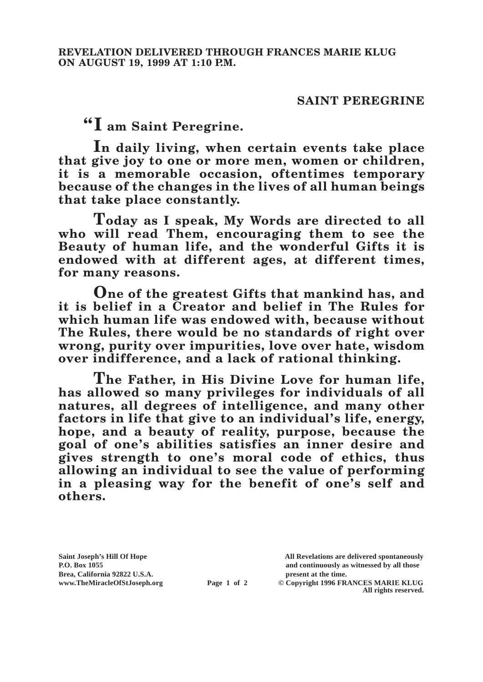## **SAINT PEREGRINE**

**"I am Saint Peregrine.**

**In daily living, when certain events take place that give joy to one or more men, women or children, it is a memorable occasion, oftentimes temporary because of the changes in the lives of all human beings that take place constantly.**

**Today as I speak, My Words are directed to all who will read Them, encouraging them to see the Beauty of human life, and the wonderful Gifts it is endowed with at different ages, at different times, for many reasons.**

**One of the greatest Gifts that mankind has, and it is belief in a Creator and belief in The Rules for which human life was endowed with, because without The Rules, there would be no standards of right over wrong, purity over impurities, love over hate, wisdom over indifference, and a lack of rational thinking.**

**The Father, in His Divine Love for human life, has allowed so many privileges for individuals of all natures, all degrees of intelligence, and many other factors in life that give to an individual's life, energy, hope, and a beauty of reality, purpose, because the goal of one's abilities satisfies an inner desire and gives strength to one's moral code of ethics, thus allowing an individual to see the value of performing in a pleasing way for the benefit of one's self and others.**

**Brea, California 92822 U.S.A. present at the time.**<br> **present at the time.**<br> **present at the time.**<br> **present at the time.**<br> **present at the time.**<br> **present at the time.** 

**Saint Joseph's Hill Of Hope All Revelations are delivered spontaneously P.O. Box 1055 and continuously as witnessed by all those** 

**Page 1 of 2** © Copyright 1996 FRANCES MARIE KLUG **All rights reserved.**